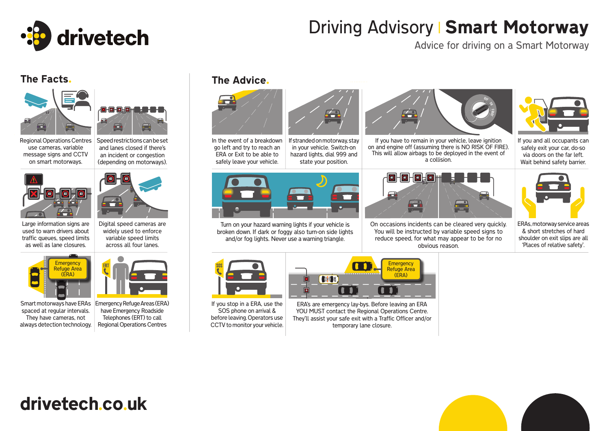

# Driving Advisory | Smart Motorway

Advice for driving on a Smart Motorway



Speed restrictions can be set and lanes closed if there's an incident or congestion (depending on motorways).

Regional Operations Centres use cameras, variable message signs and CCTV on smart motorways.





Digital speed cameras are

Large information signs are used to warn drivers about traffic queues, speed limits as well as lane closures.

Refuge Area (ERA)

**Emergency** widely used to enforce variable speed limits across all four lanes.



Smart motorways have ERAs spaced at regular intervals. They have cameras, not always detection technology.

Emergency Refuge Areas (ERA) have Emergency Roadside Telephones (ERT) to call Regional Operations Centres

### The Facts. The Advice.



In the event of a breakdown go left and try to reach an ERA or Exit to be able to safely leave your vehicle.



If stranded on motorway, stay in your vehicle. Switch-on hazard lights, dial 999 and state your position.

Turn on your hazard warning lights if your vehicle is broken down. If dark or foggy also turn-on side lights and/or fog lights. Never use a warning triangle.



If you stop in a ERA, use the SOS phone on arrival & before leaving. Operators use CCTV to monitor your vehicle.



 $\overline{\blacksquare}$ 

*Contractor* 

ERA's are emergency lay-bys. Before leaving an ERA YOU MUST contact the Regional Operations Centre. They'll assist your safe exit with a Traffic Officer and/or temporary lane closure.

 $\overline{\mathbf{1}}$ 



If you have to remain in your vehicle, leave ignition on and engine off (assuming there is NO RISK OF FIRE). This will allow airbags to be deployed in the event of a collision.



On occasions incidents can be cleared very quickly. You will be instructed by variable speed signs to reduce speed, for what may appear to be for no obvious reason.



If you and all occupants can safely exit your car, do-so via doors on the far left. Wait behind safety barrier.



ERAs, motorway service areas & short stretches of hard shoulder on exit slips are all 'Places of relative safety'.

drivetech.co.uk